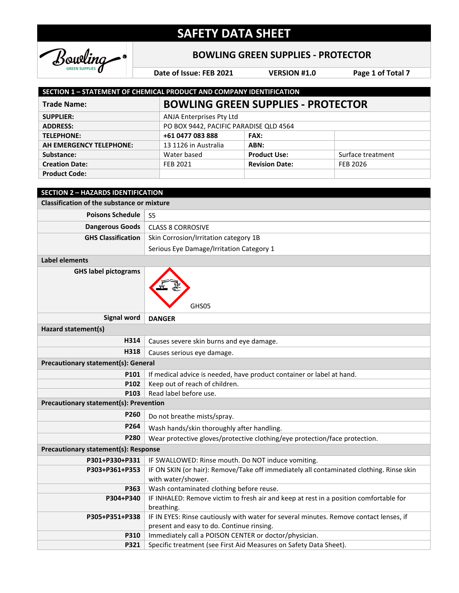

### **BOWLING GREEN SUPPLIES - PROTECTOR**

**Date of Issue: FEB 2021 VERSION #1.0 Page 1 of Total 7**

| <b>SECTION 1 - STATEMENT OF CHEMICAL PRODUCT AND COMPANY IDENTIFICATION</b> |                                           |                       |                   |
|-----------------------------------------------------------------------------|-------------------------------------------|-----------------------|-------------------|
| <b>Trade Name:</b>                                                          | <b>BOWLING GREEN SUPPLIES - PROTECTOR</b> |                       |                   |
| <b>SUPPLIER:</b>                                                            | ANJA Enterprises Pty Ltd                  |                       |                   |
| <b>ADDRESS:</b>                                                             | PO BOX 9442, PACIFIC PARADISE QLD 4564    |                       |                   |
| <b>TELEPHONE:</b>                                                           | +61 0477 083 888                          | <b>FAX:</b>           |                   |
| AH EMERGENCY TELEPHONE:                                                     | 13 1126 in Australia                      | ABN:                  |                   |
| Substance:                                                                  | Water based                               | <b>Product Use:</b>   | Surface treatment |
| <b>Creation Date:</b>                                                       | FEB 2021                                  | <b>Revision Date:</b> | FEB 2026          |
| <b>Product Code:</b>                                                        |                                           |                       |                   |

| <b>SECTION 2 - HAZARDS IDENTIFICATION</b>         |                                                                                                                                     |  |  |
|---------------------------------------------------|-------------------------------------------------------------------------------------------------------------------------------------|--|--|
| <b>Classification of the substance or mixture</b> |                                                                                                                                     |  |  |
| <b>Poisons Schedule</b>                           | S <sub>5</sub>                                                                                                                      |  |  |
| <b>Dangerous Goods</b>                            | <b>CLASS 8 CORROSIVE</b>                                                                                                            |  |  |
| <b>GHS Classification</b>                         | Skin Corrosion/Irritation category 1B                                                                                               |  |  |
|                                                   | Serious Eye Damage/Irritation Category 1                                                                                            |  |  |
| <b>Label elements</b>                             |                                                                                                                                     |  |  |
| <b>GHS label pictograms</b>                       | GHS05                                                                                                                               |  |  |
| <b>Signal word</b>                                | <b>DANGER</b>                                                                                                                       |  |  |
| Hazard statement(s)                               |                                                                                                                                     |  |  |
| H314                                              | Causes severe skin burns and eye damage.                                                                                            |  |  |
| H318                                              | Causes serious eye damage.                                                                                                          |  |  |
| <b>Precautionary statement(s): General</b>        |                                                                                                                                     |  |  |
| P101                                              | If medical advice is needed, have product container or label at hand.                                                               |  |  |
| P102                                              | Keep out of reach of children.                                                                                                      |  |  |
| P103                                              | Read label before use.                                                                                                              |  |  |
| <b>Precautionary statement(s): Prevention</b>     |                                                                                                                                     |  |  |
| P260                                              | Do not breathe mists/spray.                                                                                                         |  |  |
| P264                                              | Wash hands/skin thoroughly after handling.                                                                                          |  |  |
| P <sub>280</sub>                                  | Wear protective gloves/protective clothing/eye protection/face protection.                                                          |  |  |
| Precautionary statement(s): Response              |                                                                                                                                     |  |  |
| P301+P330+P331                                    | IF SWALLOWED: Rinse mouth. Do NOT induce vomiting.                                                                                  |  |  |
| P303+P361+P353                                    | IF ON SKIN (or hair): Remove/Take off immediately all contaminated clothing. Rinse skin<br>with water/shower.                       |  |  |
| P363                                              | Wash contaminated clothing before reuse.                                                                                            |  |  |
| P304+P340                                         | IF INHALED: Remove victim to fresh air and keep at rest in a position comfortable for<br>breathing.                                 |  |  |
| P305+P351+P338                                    | IF IN EYES: Rinse cautiously with water for several minutes. Remove contact lenses, if<br>present and easy to do. Continue rinsing. |  |  |
| P310                                              | Immediately call a POISON CENTER or doctor/physician.                                                                               |  |  |
| P321                                              | Specific treatment (see First Aid Measures on Safety Data Sheet).                                                                   |  |  |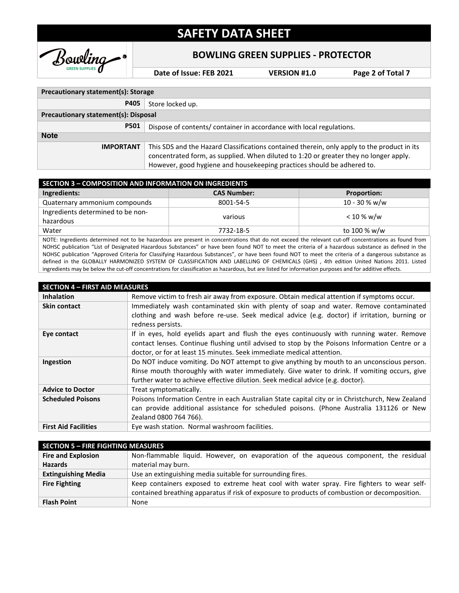

#### **BOWLING GREEN SUPPLIES - PROTECTOR**

**Date of Issue: FEB 2021 VERSION #1.0 Page 2 of Total 7**

| Precautionary statement(s): Storage         |                                                                                                                                                                                                                                                                |  |
|---------------------------------------------|----------------------------------------------------------------------------------------------------------------------------------------------------------------------------------------------------------------------------------------------------------------|--|
| P405                                        | Store locked up.                                                                                                                                                                                                                                               |  |
| <b>Precautionary statement(s): Disposal</b> |                                                                                                                                                                                                                                                                |  |
| P501                                        | Dispose of contents/ container in accordance with local regulations.                                                                                                                                                                                           |  |
| <b>Note</b>                                 |                                                                                                                                                                                                                                                                |  |
| <b>IMPORTANT</b>                            | This SDS and the Hazard Classifications contained therein, only apply to the product in its<br>concentrated form, as supplied. When diluted to 1:20 or greater they no longer apply.<br>However, good hygiene and housekeeping practices should be adhered to. |  |

| <b>SECTION 3 - COMPOSITION AND INFORMATION ON INGREDIENTS</b> |                    |                    |  |
|---------------------------------------------------------------|--------------------|--------------------|--|
| Ingredients:                                                  | <b>CAS Number:</b> | <b>Proportion:</b> |  |
| Quaternary ammonium compounds                                 | 8001-54-5          | $10 - 30 %$ w/w    |  |
| Ingredients determined to be non-                             | various            | < 10 % w/w         |  |
| hazardous                                                     |                    |                    |  |
| Water                                                         | 7732-18-5          | to 100 % w/w       |  |
|                                                               |                    |                    |  |

NOTE: Ingredients determined not to be hazardous are present in concentrations that do not exceed the relevant cut-off concentrations as found from NOHSC publication "List of Designated Hazardous Substances" or have been found NOT to meet the criteria of a hazardous substance as defined in the NOHSC publication "Approved Criteria for Classifying Hazardous Substances", or have been found NOT to meet the criteria of a dangerous substance as defined in the GLOBALLY HARMONIZED SYSTEM OF CLASSIFICATION AND LABELLING OF CHEMICALS (GHS) , 4th edition United Nations 2011. Listed ingredients may be below the cut-off concentrations for classification as hazardous, but are listed for information purposes and for additive effects.

| <b>SECTION 4 - FIRST AID MEASURES</b> |                                                                                                                                                                                                                                                                               |  |
|---------------------------------------|-------------------------------------------------------------------------------------------------------------------------------------------------------------------------------------------------------------------------------------------------------------------------------|--|
| <b>Inhalation</b>                     | Remove victim to fresh air away from exposure. Obtain medical attention if symptoms occur.                                                                                                                                                                                    |  |
| <b>Skin contact</b>                   | Immediately wash contaminated skin with plenty of soap and water. Remove contaminated                                                                                                                                                                                         |  |
|                                       | clothing and wash before re-use. Seek medical advice (e.g. doctor) if irritation, burning or<br>redness persists.                                                                                                                                                             |  |
| Eye contact                           | If in eyes, hold eyelids apart and flush the eyes continuously with running water. Remove<br>contact lenses. Continue flushing until advised to stop by the Poisons Information Centre or a<br>doctor, or for at least 15 minutes. Seek immediate medical attention.          |  |
| Ingestion                             | Do NOT induce vomiting. Do NOT attempt to give anything by mouth to an unconscious person.<br>Rinse mouth thoroughly with water immediately. Give water to drink. If vomiting occurs, give<br>further water to achieve effective dilution. Seek medical advice (e.g. doctor). |  |
| <b>Advice to Doctor</b>               | Treat symptomatically.                                                                                                                                                                                                                                                        |  |
| <b>Scheduled Poisons</b>              | Poisons Information Centre in each Australian State capital city or in Christchurch, New Zealand<br>can provide additional assistance for scheduled poisons. (Phone Australia 131126 or New<br>Zealand 0800 764 766).                                                         |  |
| <b>First Aid Facilities</b>           | Eye wash station. Normal washroom facilities.                                                                                                                                                                                                                                 |  |

| <b>SECTION 5 - FIRE FIGHTING MEASURES</b> |                                                                                               |  |
|-------------------------------------------|-----------------------------------------------------------------------------------------------|--|
| <b>Fire and Explosion</b>                 | Non-flammable liquid. However, on evaporation of the aqueous component, the residual          |  |
| <b>Hazards</b>                            | material may burn.                                                                            |  |
| <b>Extinguishing Media</b>                | Use an extinguishing media suitable for surrounding fires.                                    |  |
| <b>Fire Fighting</b>                      | Keep containers exposed to extreme heat cool with water spray. Fire fighters to wear self-    |  |
|                                           | contained breathing apparatus if risk of exposure to products of combustion or decomposition. |  |
| <b>Flash Point</b>                        | None                                                                                          |  |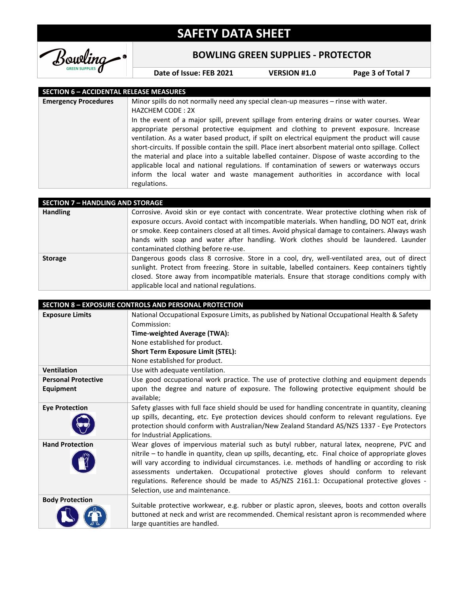

### **BOWLING GREEN SUPPLIES - PROTECTOR**

**Date of Issue: FEB 2021 VERSION #1.0 Page 3 of Total 7**

#### **SECTION 6 – ACCIDENTAL RELEASE MEASURES**

| <b>Emergency Procedures</b><br>Minor spills do not normally need any special clean-up measures – rinse with water. |                                                                                                                                                                                                                                                                                                                                                                                       |
|--------------------------------------------------------------------------------------------------------------------|---------------------------------------------------------------------------------------------------------------------------------------------------------------------------------------------------------------------------------------------------------------------------------------------------------------------------------------------------------------------------------------|
|                                                                                                                    | <b>HAZCHEM CODE: 2X</b>                                                                                                                                                                                                                                                                                                                                                               |
|                                                                                                                    | In the event of a major spill, prevent spillage from entering drains or water courses. Wear<br>appropriate personal protective equipment and clothing to prevent exposure. Increase                                                                                                                                                                                                   |
|                                                                                                                    | ventilation. As a water based product, if spilt on electrical equipment the product will cause                                                                                                                                                                                                                                                                                        |
|                                                                                                                    | short-circuits. If possible contain the spill. Place inert absorbent material onto spillage. Collect<br>the material and place into a suitable labelled container. Dispose of waste according to the<br>applicable local and national regulations. If contamination of sewers or waterways occurs<br>inform the local water and waste management authorities in accordance with local |
|                                                                                                                    | regulations.                                                                                                                                                                                                                                                                                                                                                                          |

| <b>SECTION 7 - HANDLING AND STORAGE</b> |                                                                                                                                                                                                                                                                                                                                                                                                                                |
|-----------------------------------------|--------------------------------------------------------------------------------------------------------------------------------------------------------------------------------------------------------------------------------------------------------------------------------------------------------------------------------------------------------------------------------------------------------------------------------|
| <b>Handling</b>                         | Corrosive. Avoid skin or eye contact with concentrate. Wear protective clothing when risk of<br>exposure occurs. Avoid contact with incompatible materials. When handling, DO NOT eat, drink<br>or smoke. Keep containers closed at all times. Avoid physical damage to containers. Always wash<br>hands with soap and water after handling. Work clothes should be laundered. Launder<br>contaminated clothing before re-use. |
| <b>Storage</b>                          | Dangerous goods class 8 corrosive. Store in a cool, dry, well-ventilated area, out of direct<br>sunlight. Protect from freezing. Store in suitable, labelled containers. Keep containers tightly<br>closed. Store away from incompatible materials. Ensure that storage conditions comply with<br>applicable local and national regulations.                                                                                   |

|                            | <b>SECTION 8 - EXPOSURE CONTROLS AND PERSONAL PROTECTION</b>                                         |
|----------------------------|------------------------------------------------------------------------------------------------------|
| <b>Exposure Limits</b>     | National Occupational Exposure Limits, as published by National Occupational Health & Safety         |
|                            | Commission:                                                                                          |
|                            | Time-weighted Average (TWA):                                                                         |
|                            | None established for product.                                                                        |
|                            | <b>Short Term Exposure Limit (STEL):</b>                                                             |
|                            | None established for product.                                                                        |
| <b>Ventilation</b>         | Use with adequate ventilation.                                                                       |
| <b>Personal Protective</b> | Use good occupational work practice. The use of protective clothing and equipment depends            |
| <b>Equipment</b>           | upon the degree and nature of exposure. The following protective equipment should be                 |
|                            | available;                                                                                           |
| <b>Eye Protection</b>      | Safety glasses with full face shield should be used for handling concentrate in quantity, cleaning   |
|                            | up spills, decanting, etc. Eye protection devices should conform to relevant regulations. Eye        |
|                            | protection should conform with Australian/New Zealand Standard AS/NZS 1337 - Eye Protectors          |
|                            | for Industrial Applications.                                                                         |
| <b>Hand Protection</b>     | Wear gloves of impervious material such as butyl rubber, natural latex, neoprene, PVC and            |
|                            | nitrile - to handle in quantity, clean up spills, decanting, etc. Final choice of appropriate gloves |
|                            | will vary according to individual circumstances. i.e. methods of handling or according to risk       |
|                            | assessments undertaken. Occupational protective gloves should conform to relevant                    |
|                            | regulations. Reference should be made to AS/NZS 2161.1: Occupational protective gloves -             |
|                            | Selection, use and maintenance.                                                                      |
| <b>Body Protection</b>     | Suitable protective workwear, e.g. rubber or plastic apron, sleeves, boots and cotton overalls       |
|                            | buttoned at neck and wrist are recommended. Chemical resistant apron is recommended where            |
|                            | large quantities are handled.                                                                        |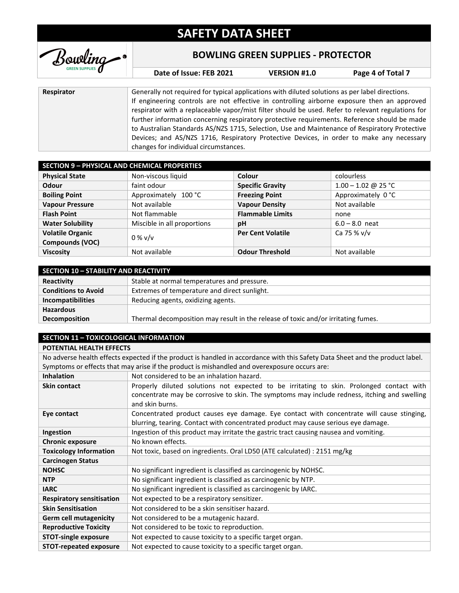

### **BOWLING GREEN SUPPLIES - PROTECTOR**

**Date of Issue: FEB 2021 VERSION #1.0 Page 4 of Total 7**

| Respirator | Generally not required for typical applications with diluted solutions as per label directions.   |
|------------|---------------------------------------------------------------------------------------------------|
|            | If engineering controls are not effective in controlling airborne exposure then an approved       |
|            | respirator with a replaceable vapor/mist filter should be used. Refer to relevant regulations for |
|            | further information concerning respiratory protective requirements. Reference should be made      |
|            | to Australian Standards AS/NZS 1715, Selection, Use and Maintenance of Respiratory Protective     |
|            | Devices; and AS/NZS 1716, Respiratory Protective Devices, in order to make any necessary          |
|            | changes for individual circumstances.                                                             |

| <b>SECTION 9 - PHYSICAL AND CHEMICAL PROPERTIES</b> |                             |                          |                       |
|-----------------------------------------------------|-----------------------------|--------------------------|-----------------------|
| <b>Physical State</b>                               | Non-viscous liquid          | Colour                   | colourless            |
| Odour                                               | faint odour                 | <b>Specific Gravity</b>  | $1.00 - 1.02$ @ 25 °C |
| <b>Boiling Point</b>                                | Approximately 100 °C        | <b>Freezing Point</b>    | Approximately 0 °C    |
| <b>Vapour Pressure</b>                              | Not available               | <b>Vapour Density</b>    | Not available         |
| <b>Flash Point</b>                                  | Not flammable               | <b>Flammable Limits</b>  | none                  |
| <b>Water Solubility</b>                             | Miscible in all proportions | pH                       | $6.0 - 8.0$ neat      |
| <b>Volatile Organic</b>                             | $0\%$ v/v                   | <b>Per Cent Volatile</b> | Ca 75 % v/v           |
| Compounds (VOC)                                     |                             |                          |                       |
| <b>Viscosity</b>                                    | Not available               | <b>Odour Threshold</b>   | Not available         |

| <b>SECTION 10 - STABILITY AND REACTIVITY</b> |                                                                                   |  |
|----------------------------------------------|-----------------------------------------------------------------------------------|--|
| Reactivity                                   | Stable at normal temperatures and pressure.                                       |  |
| <b>Conditions to Avoid</b>                   | Extremes of temperature and direct sunlight.                                      |  |
| Incompatibilities                            | Reducing agents, oxidizing agents.                                                |  |
| <b>Hazardous</b>                             |                                                                                   |  |
| <b>Decomposition</b>                         | Thermal decomposition may result in the release of toxic and/or irritating fumes. |  |

#### **SECTION 11 – TOXICOLOGICAL INFORMATION**

#### **POTENTIAL HEALTH EFFECTS**

| No adverse health effects expected if the product is handled in accordance with this Safety Data Sheet and the product label. |                                                                                                                                                                                                             |
|-------------------------------------------------------------------------------------------------------------------------------|-------------------------------------------------------------------------------------------------------------------------------------------------------------------------------------------------------------|
| Symptoms or effects that may arise if the product is mishandled and overexposure occurs are:                                  |                                                                                                                                                                                                             |
| <b>Inhalation</b>                                                                                                             | Not considered to be an inhalation hazard.                                                                                                                                                                  |
| Skin contact                                                                                                                  | Properly diluted solutions not expected to be irritating to skin. Prolonged contact with<br>concentrate may be corrosive to skin. The symptoms may include redness, itching and swelling<br>and skin burns. |
| Eye contact                                                                                                                   | Concentrated product causes eye damage. Eye contact with concentrate will cause stinging,<br>blurring, tearing. Contact with concentrated product may cause serious eye damage.                             |
| Ingestion                                                                                                                     | Ingestion of this product may irritate the gastric tract causing nausea and vomiting.                                                                                                                       |
| <b>Chronic exposure</b>                                                                                                       | No known effects.                                                                                                                                                                                           |
| <b>Toxicology Information</b>                                                                                                 | Not toxic, based on ingredients. Oral LD50 (ATE calculated) : 2151 mg/kg                                                                                                                                    |
| <b>Carcinogen Status</b>                                                                                                      |                                                                                                                                                                                                             |
| <b>NOHSC</b>                                                                                                                  | No significant ingredient is classified as carcinogenic by NOHSC.                                                                                                                                           |
| <b>NTP</b>                                                                                                                    | No significant ingredient is classified as carcinogenic by NTP.                                                                                                                                             |
| <b>IARC</b>                                                                                                                   | No significant ingredient is classified as carcinogenic by IARC.                                                                                                                                            |
| <b>Respiratory sensitisation</b>                                                                                              | Not expected to be a respiratory sensitizer.                                                                                                                                                                |
| <b>Skin Sensitisation</b>                                                                                                     | Not considered to be a skin sensitiser hazard.                                                                                                                                                              |
| <b>Germ cell mutagenicity</b>                                                                                                 | Not considered to be a mutagenic hazard.                                                                                                                                                                    |
| <b>Reproductive Toxicity</b>                                                                                                  | Not considered to be toxic to reproduction.                                                                                                                                                                 |
| <b>STOT-single exposure</b>                                                                                                   | Not expected to cause toxicity to a specific target organ.                                                                                                                                                  |
| <b>STOT-repeated exposure</b>                                                                                                 | Not expected to cause toxicity to a specific target organ.                                                                                                                                                  |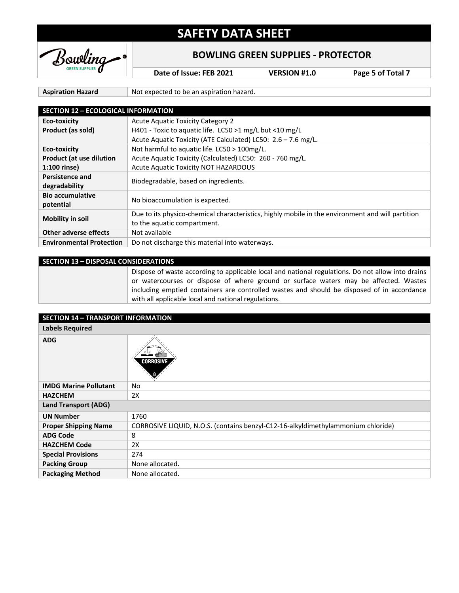

### **BOWLING GREEN SUPPLIES - PROTECTOR**

**Date of Issue: FEB 2021 VERSION #1.0 Page 5 of Total 7**

Aspiration Hazard **Not expected to be an aspiration hazard.** 

| <b>SECTION 12 - ECOLOGICAL INFORMATION</b> |                                                                                                  |
|--------------------------------------------|--------------------------------------------------------------------------------------------------|
| <b>Eco-toxicity</b>                        | <b>Acute Aquatic Toxicity Category 2</b>                                                         |
| Product (as sold)                          | H401 - Toxic to aquatic life. LC50 >1 mg/L but <10 mg/L                                          |
|                                            | Acute Aquatic Toxicity (ATE Calculated) LC50: 2.6 - 7.6 mg/L.                                    |
| <b>Eco-toxicity</b>                        | Not harmful to aquatic life. LC50 > 100mg/L.                                                     |
| <b>Product (at use dilution</b>            | Acute Aquatic Toxicity (Calculated) LC50: 260 - 760 mg/L.                                        |
| 1:100 rinse)                               | <b>Acute Aquatic Toxicity NOT HAZARDOUS</b>                                                      |
| <b>Persistence and</b>                     | Biodegradable, based on ingredients.                                                             |
| degradability                              |                                                                                                  |
| <b>Bio accumulative</b>                    | No bioaccumulation is expected.                                                                  |
| potential                                  |                                                                                                  |
| <b>Mobility in soil</b>                    | Due to its physico-chemical characteristics, highly mobile in the environment and will partition |
|                                            | to the aquatic compartment.                                                                      |
| Other adverse effects                      | Not available                                                                                    |
| <b>Environmental Protection</b>            | Do not discharge this material into waterways.                                                   |

| <b>SECTION 13 - DISPOSAL CONSIDERATIONS</b>                                                                                                                                                                                                                                                                                                    |  |
|------------------------------------------------------------------------------------------------------------------------------------------------------------------------------------------------------------------------------------------------------------------------------------------------------------------------------------------------|--|
| Dispose of waste according to applicable local and national regulations. Do not allow into drains<br>or watercourses or dispose of where ground or surface waters may be affected. Wastes<br>including emptied containers are controlled wastes and should be disposed of in accordance<br>with all applicable local and national regulations. |  |

| <b>SECTION 14 - TRANSPORT INFORMATION</b> |                                                                                  |
|-------------------------------------------|----------------------------------------------------------------------------------|
| <b>Labels Required</b>                    |                                                                                  |
| <b>ADG</b>                                | <b>CORROSIV</b>                                                                  |
| <b>IMDG Marine Pollutant</b>              | No                                                                               |
| <b>HAZCHEM</b>                            | 2X                                                                               |
| <b>Land Transport (ADG)</b>               |                                                                                  |
| <b>UN Number</b>                          | 1760                                                                             |
| <b>Proper Shipping Name</b>               | CORROSIVE LIQUID, N.O.S. (contains benzyl-C12-16-alkyldimethylammonium chloride) |
| <b>ADG Code</b>                           | 8                                                                                |
| <b>HAZCHEM Code</b>                       | 2X                                                                               |
| <b>Special Provisions</b>                 | 274                                                                              |
| <b>Packing Group</b>                      | None allocated.                                                                  |
| <b>Packaging Method</b>                   | None allocated.                                                                  |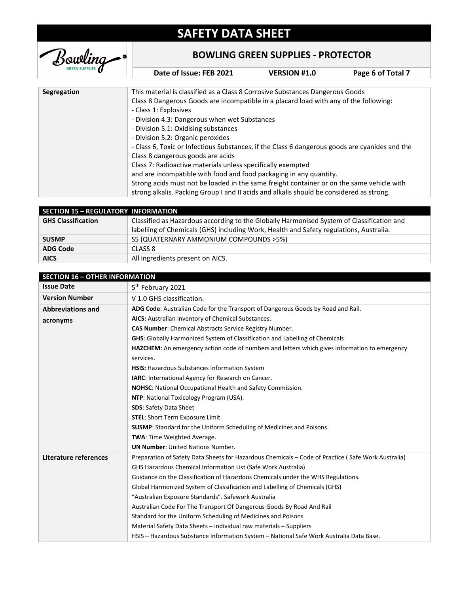

### **BOWLING GREEN SUPPLIES - PROTECTOR**

**Date of Issue: FEB 2021 VERSION #1.0 Page 6 of Total 7**

| Segregation | This material is classified as a Class 8 Corrosive Substances Dangerous Goods                  |
|-------------|------------------------------------------------------------------------------------------------|
|             | Class 8 Dangerous Goods are incompatible in a placard load with any of the following:          |
|             | - Class 1: Explosives                                                                          |
|             | - Division 4.3: Dangerous when wet Substances                                                  |
|             | - Division 5.1: Oxidising substances                                                           |
|             | - Division 5.2: Organic peroxides                                                              |
|             | - Class 6, Toxic or Infectious Substances, if the Class 6 dangerous goods are cyanides and the |
|             | Class 8 dangerous goods are acids                                                              |
|             | Class 7: Radioactive materials unless specifically exempted                                    |
|             | and are incompatible with food and food packaging in any quantity.                             |
|             | Strong acids must not be loaded in the same freight container or on the same vehicle with      |
|             | strong alkalis. Packing Group I and II acids and alkalis should be considered as strong.       |
|             |                                                                                                |

| <b>SECTION 15 - REGULATORY INFORMATION</b> |                                                                                           |
|--------------------------------------------|-------------------------------------------------------------------------------------------|
| <b>GHS Classification</b>                  | Classified as Hazardous according to the Globally Harmonised System of Classification and |
|                                            | labelling of Chemicals (GHS) including Work, Health and Safety regulations, Australia.    |
| <b>SUSMP</b>                               | S5 (QUATERNARY AMMONIUM COMPOUNDS >5%)                                                    |
| <b>ADG Code</b>                            | CLASS 8                                                                                   |
| <b>AICS</b>                                | All ingredients present on AICS.                                                          |

| <b>SECTION 16 - OTHER INFORMATION</b> |                                                                                                    |
|---------------------------------------|----------------------------------------------------------------------------------------------------|
| <b>Issue Date</b>                     | 5 <sup>th</sup> February 2021                                                                      |
| <b>Version Number</b>                 | V 1.0 GHS classification.                                                                          |
| <b>Abbreviations and</b>              | ADG Code: Australian Code for the Transport of Dangerous Goods by Road and Rail.                   |
| acronyms                              | AICS: Australian Inventory of Chemical Substances.                                                 |
|                                       | <b>CAS Number:</b> Chemical Abstracts Service Registry Number.                                     |
|                                       | <b>GHS:</b> Globally Harmonized System of Classification and Labelling of Chemicals                |
|                                       | HAZCHEM: An emergency action code of numbers and letters which gives information to emergency      |
|                                       | services.                                                                                          |
|                                       | HSIS: Hazardous Substances Information System                                                      |
|                                       | IARC: International Agency for Research on Cancer.                                                 |
|                                       | <b>NOHSC:</b> National Occupational Health and Safety Commission.                                  |
|                                       | NTP: National Toxicology Program (USA).                                                            |
|                                       | <b>SDS: Safety Data Sheet</b>                                                                      |
|                                       | <b>STEL:</b> Short Term Exposure Limit.                                                            |
|                                       | <b>SUSMP:</b> Standard for the Uniform Scheduling of Medicines and Poisons.                        |
|                                       | TWA: Time Weighted Average.                                                                        |
|                                       | <b>UN Number:</b> United Nations Number.                                                           |
| Literature references                 | Preparation of Safety Data Sheets for Hazardous Chemicals – Code of Practice (Safe Work Australia) |
|                                       | <b>GHS Hazardous Chemical Information List (Safe Work Australia)</b>                               |
|                                       | Guidance on the Classification of Hazardous Chemicals under the WHS Regulations.                   |
|                                       | Global Harmonized System of Classification and Labelling of Chemicals (GHS)                        |
|                                       | "Australian Exposure Standards". Safework Australia                                                |
|                                       | Australian Code For The Transport Of Dangerous Goods By Road And Rail                              |
|                                       | Standard for the Uniform Scheduling of Medicines and Poisons                                       |
|                                       | Material Safety Data Sheets - individual raw materials - Suppliers                                 |
|                                       | HSIS - Hazardous Substance Information System - National Safe Work Australia Data Base.            |